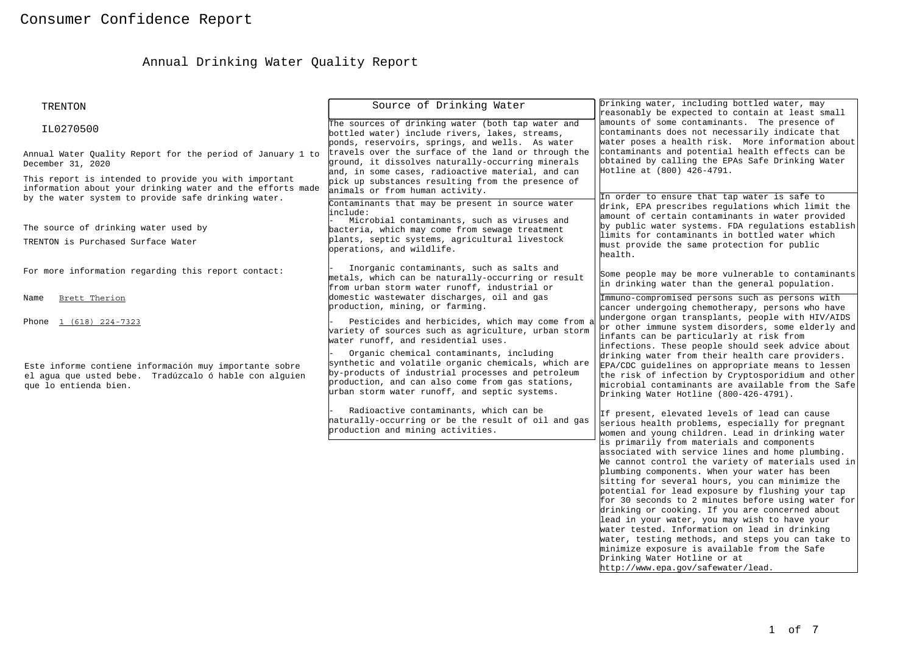# Annual Drinking Water Quality Report

| <b>TRENTON</b>                                                                                                                                                             | Source of Drinking Water                                                                                                                                                                                                                                  | Drinking water, including bottled water, may<br>reasonably be expected to contain at least small                                                                                                                                                                                                                                                                                                                                                                                                                                                                                                                                                                                                   |  |  |
|----------------------------------------------------------------------------------------------------------------------------------------------------------------------------|-----------------------------------------------------------------------------------------------------------------------------------------------------------------------------------------------------------------------------------------------------------|----------------------------------------------------------------------------------------------------------------------------------------------------------------------------------------------------------------------------------------------------------------------------------------------------------------------------------------------------------------------------------------------------------------------------------------------------------------------------------------------------------------------------------------------------------------------------------------------------------------------------------------------------------------------------------------------------|--|--|
| IL0270500                                                                                                                                                                  | The sources of drinking water (both tap water and<br>bottled water) include rivers, lakes, streams,<br>ponds, reservoirs, springs, and wells. As water                                                                                                    | amounts of some contaminants. The presence of<br>contaminants does not necessarily indicate that<br>water poses a health risk. More information about                                                                                                                                                                                                                                                                                                                                                                                                                                                                                                                                              |  |  |
| Annual Water Quality Report for the period of January 1 to<br>December 31, 2020                                                                                            | travels over the surface of the land or through the<br>ground, it dissolves naturally-occurring minerals<br>and, in some cases, radioactive material, and can                                                                                             | contaminants and potential health effects can be<br>obtained by calling the EPAs Safe Drinking Water<br>Hotline at (800) 426-4791.                                                                                                                                                                                                                                                                                                                                                                                                                                                                                                                                                                 |  |  |
| This report is intended to provide you with important<br>information about your drinking water and the efforts made<br>by the water system to provide safe drinking water. | pick up substances resulting from the presence of<br>animals or from human activity.                                                                                                                                                                      | In order to ensure that tap water is safe to                                                                                                                                                                                                                                                                                                                                                                                                                                                                                                                                                                                                                                                       |  |  |
| The source of drinking water used by                                                                                                                                       | Contaminants that may be present in source water<br>include:<br>Microbial contaminants, such as viruses and                                                                                                                                               | drink, EPA prescribes regulations which limit the<br>amount of certain contaminants in water provided<br>by public water systems. FDA regulations establish                                                                                                                                                                                                                                                                                                                                                                                                                                                                                                                                        |  |  |
| TRENTON is Purchased Surface Water                                                                                                                                         | bacteria, which may come from sewage treatment<br>plants, septic systems, agricultural livestock<br>operations, and wildlife.                                                                                                                             | limits for contaminants in bottled water which<br>must provide the same protection for public<br>health.                                                                                                                                                                                                                                                                                                                                                                                                                                                                                                                                                                                           |  |  |
| For more information regarding this report contact:                                                                                                                        | Inorganic contaminants, such as salts and<br>metals, which can be naturally-occurring or result<br>from urban storm water runoff, industrial or                                                                                                           | Some people may be more vulnerable to contaminants<br>in drinking water than the general population.                                                                                                                                                                                                                                                                                                                                                                                                                                                                                                                                                                                               |  |  |
| Brett Therion<br>Name                                                                                                                                                      | domestic wastewater discharges, oil and gas<br>production, mining, or farming.                                                                                                                                                                            | Immuno-compromised persons such as persons with<br>cancer undergoing chemotherapy, persons who have                                                                                                                                                                                                                                                                                                                                                                                                                                                                                                                                                                                                |  |  |
| Phone 1 (618) 224-7323                                                                                                                                                     | Pesticides and herbicides, which may come from a<br>variety of sources such as agriculture, urban storm<br>water runoff, and residential uses.                                                                                                            | undergone organ transplants, people with HIV/AIDS<br>or other immune system disorders, some elderly and<br>infants can be particularly at risk from                                                                                                                                                                                                                                                                                                                                                                                                                                                                                                                                                |  |  |
| Este informe contiene información muy importante sobre<br>el agua que usted bebe. Tradúzcalo ó hable con alguien<br>que lo entienda bien.                                  | Organic chemical contaminants, including<br>synthetic and volatile organic chemicals, which are<br>by-products of industrial processes and petroleum<br>production, and can also come from gas stations,<br>urban storm water runoff, and septic systems. | infections. These people should seek advice about<br>drinking water from their health care providers.<br>EPA/CDC guidelines on appropriate means to lessen<br>the risk of infection by Cryptosporidium and other<br>microbial contaminants are available from the Safe<br>Drinking Water Hotline (800-426-4791).                                                                                                                                                                                                                                                                                                                                                                                   |  |  |
|                                                                                                                                                                            | Radioactive contaminants, which can be<br>haturally-occurring or be the result of oil and gas<br>production and mining activities.                                                                                                                        | If present, elevated levels of lead can cause<br>serious health problems, especially for pregnant<br>women and young children. Lead in drinking water                                                                                                                                                                                                                                                                                                                                                                                                                                                                                                                                              |  |  |
|                                                                                                                                                                            |                                                                                                                                                                                                                                                           | is primarily from materials and components<br>associated with service lines and home plumbing.<br>We cannot control the variety of materials used in<br>plumbing components. When your water has been<br>sitting for several hours, you can minimize the<br>potential for lead exposure by flushing your tap<br>for 30 seconds to 2 minutes before using water for<br>drinking or cooking. If you are concerned about<br>lead in your water, you may wish to have your<br>water tested. Information on lead in drinking<br>water, testing methods, and steps you can take to<br>minimize exposure is available from the Safe<br>Drinking Water Hotline or at<br>http://www.epa.gov/safewater/lead. |  |  |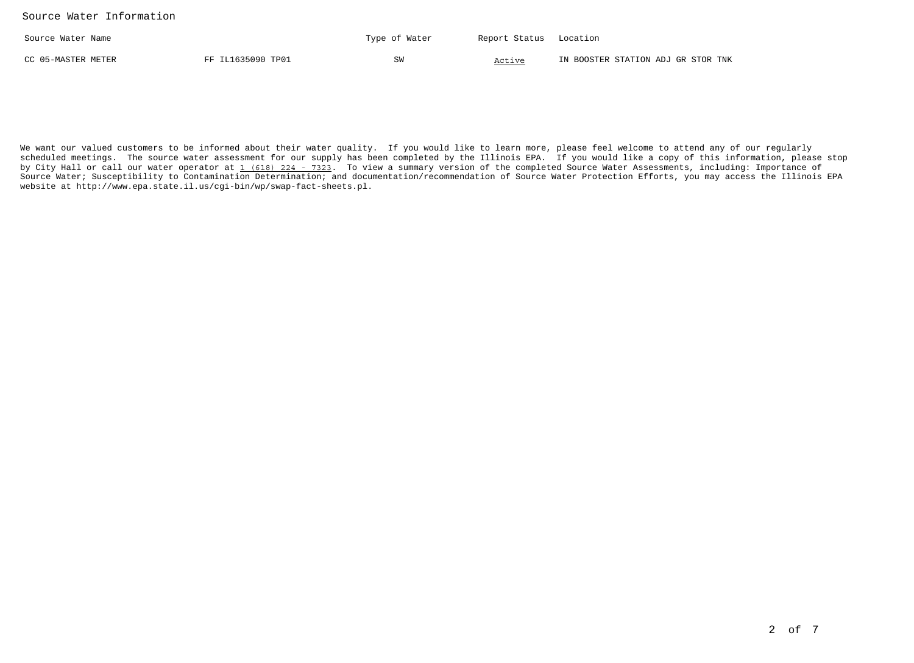| Source Water Name  |                   | Type of Water | Report Status Location |                                    |
|--------------------|-------------------|---------------|------------------------|------------------------------------|
| CC 05-MASTER METER | FF IL1635090 TP01 |               | Active                 | IN BOOSTER STATION ADJ GR STOR TNK |

We want our valued customers to be informed about their water quality. If you would like to learn more, please feel welcome to attend any of our regularly scheduled meetings. The source water assessment for our supply has been completed by the Illinois EPA. If you would like a copy of this information, please stopby City Hall or call our water operator at 1 (618) 224 - 7323. To view a summary version of the completed Source Water Assessments, including: Importance of Source Water; Susceptibility to Contamination Determination; and documentation/recommendation of Source Water Protection Efforts, you may access the Illinois EPAwebsite at http://www.epa.state.il.us/cgi-bin/wp/swap-fact-sheets.pl.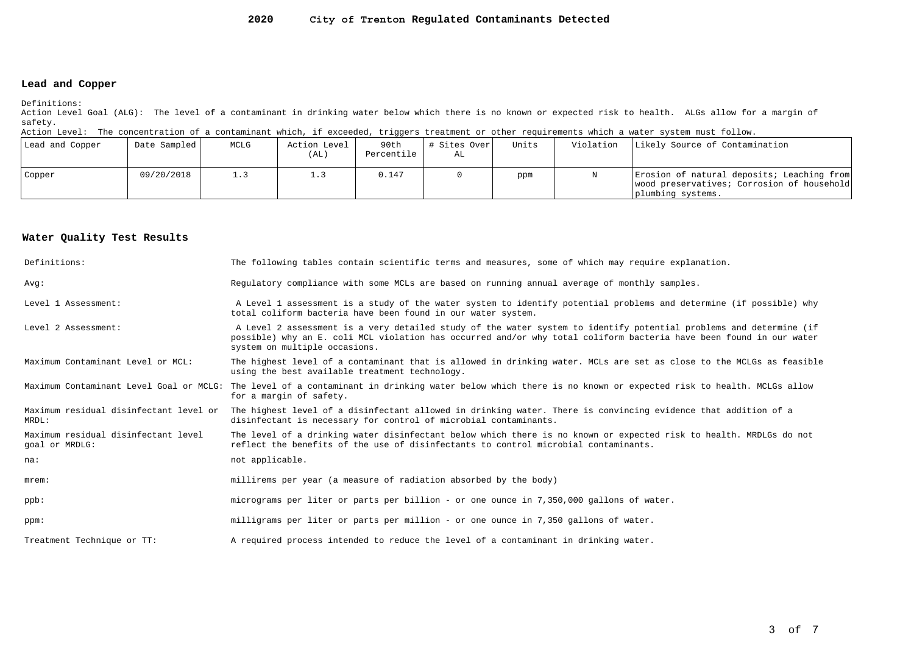#### **2020City of Trenton Regulated Contaminants Detected**

### **Lead and Copper**

Definitions:

 Action Level Goal (ALG): The level of a contaminant in drinking water below which there is no known or expected risk to health. ALGs allow for a margin ofsafety.

Action Level: The concentration of a contaminant which, if exceeded, triggers treatment or other requirements which a water system must follow.

| Lead and Copper | Date Sampled | MCLG | Action Level<br>(AL) | 90th<br>Percentile | # Sites Over<br>AL | Units | Violation | Likely Source of Contamination                                                                                |
|-----------------|--------------|------|----------------------|--------------------|--------------------|-------|-----------|---------------------------------------------------------------------------------------------------------------|
| Copper          | 09/20/2018   |      |                      | 0.147              |                    | ppm   |           | Erosion of natural deposits; Leaching from<br>wood preservatives; Corrosion of household<br>plumbing systems. |

### **Water Quality Test Results**

| Definitions:                                          | The following tables contain scientific terms and measures, some of which may require explanation.                                                                                                                                                                         |
|-------------------------------------------------------|----------------------------------------------------------------------------------------------------------------------------------------------------------------------------------------------------------------------------------------------------------------------------|
| Avq:                                                  | Requlatory compliance with some MCLs are based on running annual average of monthly samples.                                                                                                                                                                               |
| Level 1 Assessment:                                   | A Level 1 assessment is a study of the water system to identify potential problems and determine (if possible) why<br>total coliform bacteria have been found in our water system.                                                                                         |
| Level 2 Assessment:                                   | A Level 2 assessment is a very detailed study of the water system to identify potential problems and determine (if<br>possible) why an E. coli MCL violation has occurred and/or why total coliform bacteria have been found in our water<br>system on multiple occasions. |
| Maximum Contaminant Level or MCL:                     | The highest level of a contaminant that is allowed in drinking water. MCLs are set as close to the MCLGs as feasible<br>using the best available treatment technology.                                                                                                     |
|                                                       | Maximum Contaminant Level Goal or MCLG: The level of a contaminant in drinking water below which there is no known or expected risk to health. MCLGs allow<br>for a margin of safety.                                                                                      |
| Maximum residual disinfectant level or<br>MRDL:       | The highest level of a disinfectant allowed in drinking water. There is convincing evidence that addition of a<br>disinfectant is necessary for control of microbial contaminants.                                                                                         |
| Maximum residual disinfectant level<br>goal or MRDLG: | The level of a drinking water disinfectant below which there is no known or expected risk to health. MRDLGs do not<br>reflect the benefits of the use of disinfectants to control microbial contaminants.                                                                  |
| na:                                                   | not applicable.                                                                                                                                                                                                                                                            |
| $m$ rem:                                              | millirems per year (a measure of radiation absorbed by the body)                                                                                                                                                                                                           |
| $ppb$ :                                               | micrograms per liter or parts per billion - or one ounce in 7,350,000 gallons of water.                                                                                                                                                                                    |
| ppm:                                                  | milligrams per liter or parts per million - or one ounce in 7,350 gallons of water.                                                                                                                                                                                        |
| Treatment Technique or TT:                            | A required process intended to reduce the level of a contaminant in drinking water.                                                                                                                                                                                        |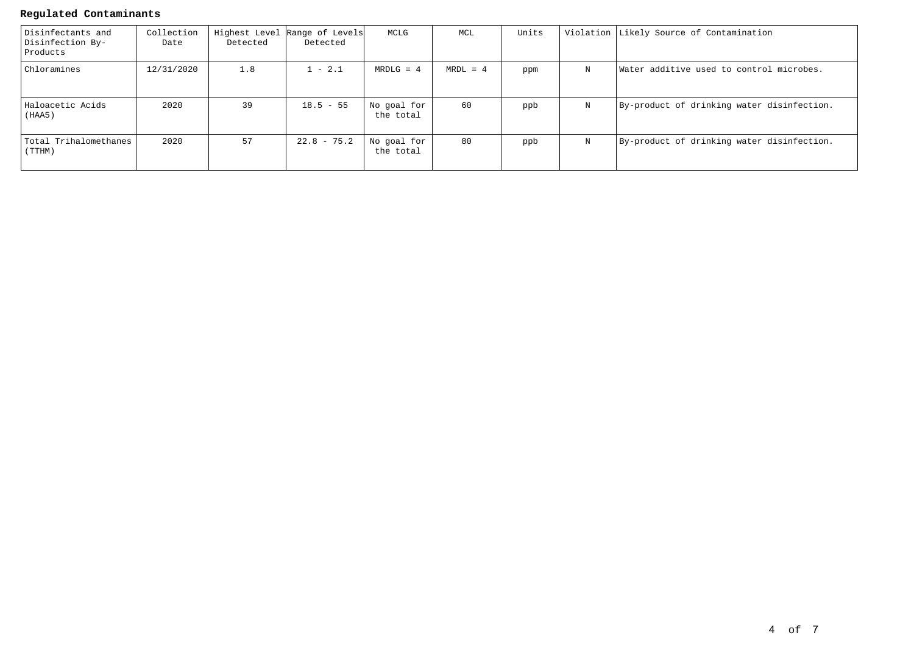## **Regulated Contaminants**

| Disinfectants and<br>Disinfection By-<br>Products | Collection<br>Date | Detected | Highest Level Range of Levels<br>Detected | MCLG                     | MCL        | Units |   | Violation Likely Source of Contamination   |
|---------------------------------------------------|--------------------|----------|-------------------------------------------|--------------------------|------------|-------|---|--------------------------------------------|
| Chloramines                                       | 12/31/2020         | 1.8      | $1 - 2.1$                                 | $MRDLG = 4$              | $MRDL = 4$ | ppm   | N | Water additive used to control microbes.   |
| Haloacetic Acids<br>(HAA5)                        | 2020               | 39       | $18.5 - 55$                               | No goal for<br>the total | 60         | ppb   | N | By-product of drinking water disinfection. |
| Total Trihalomethanes<br>(TTHM)                   | 2020               | 57       | $22.8 - 75.2$                             | No goal for<br>the total | 80         | ppb   | N | By-product of drinking water disinfection. |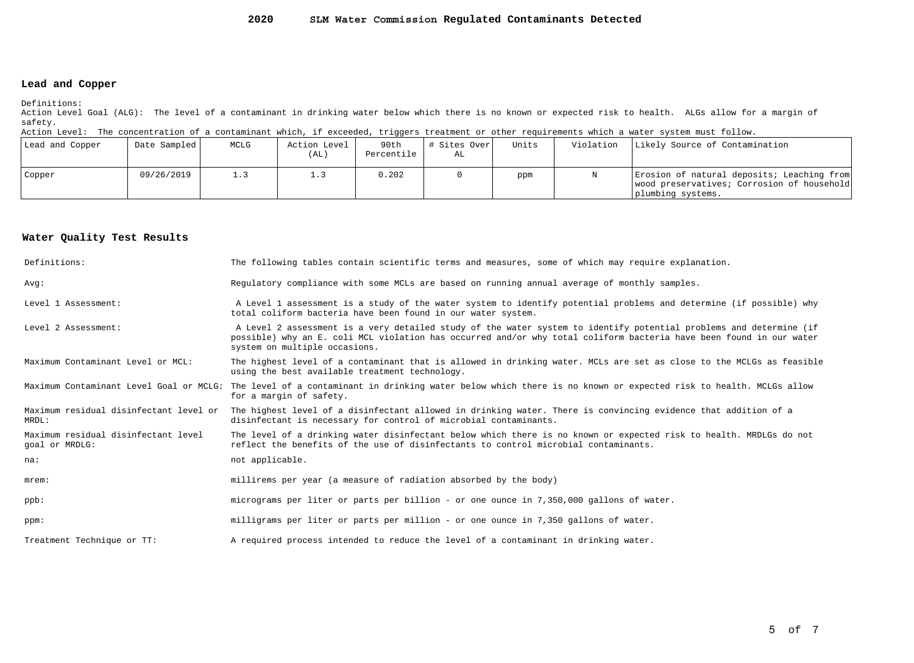#### **2020SLM Water Commission Regulated Contaminants Detected**

### **Lead and Copper**

Definitions:

 Action Level Goal (ALG): The level of a contaminant in drinking water below which there is no known or expected risk to health. ALGs allow for a margin ofsafety.

Action Level: The concentration of a contaminant which, if exceeded, triggers treatment or other requirements which a water system must follow.

| Lead and Copper | Date Sampled | MCLG | Action Level<br>(AL) | 90th<br>Percentile | # Sites Over<br>AL | Units | Violation | Likely Source of Contamination                                                                                |
|-----------------|--------------|------|----------------------|--------------------|--------------------|-------|-----------|---------------------------------------------------------------------------------------------------------------|
| Copper          | 09/26/2019   | 1.3  |                      | 0.202              |                    | ppm   |           | Erosion of natural deposits; Leaching from<br>wood preservatives; Corrosion of household<br>plumbing systems. |

#### **Water Quality Test Results**

| Definitions:                                          | The following tables contain scientific terms and measures, some of which may require explanation.                                                                                                                                                                         |
|-------------------------------------------------------|----------------------------------------------------------------------------------------------------------------------------------------------------------------------------------------------------------------------------------------------------------------------------|
| Avq:                                                  | Requlatory compliance with some MCLs are based on running annual average of monthly samples.                                                                                                                                                                               |
| Level 1 Assessment:                                   | A Level 1 assessment is a study of the water system to identify potential problems and determine (if possible) why<br>total coliform bacteria have been found in our water system.                                                                                         |
| Level 2 Assessment:                                   | A Level 2 assessment is a very detailed study of the water system to identify potential problems and determine (if<br>possible) why an E. coli MCL violation has occurred and/or why total coliform bacteria have been found in our water<br>system on multiple occasions. |
| Maximum Contaminant Level or MCL:                     | The highest level of a contaminant that is allowed in drinking water. MCLs are set as close to the MCLGs as feasible<br>using the best available treatment technology.                                                                                                     |
|                                                       | Maximum Contaminant Level Goal or MCLG: The level of a contaminant in drinking water below which there is no known or expected risk to health. MCLGs allow<br>for a margin of safety.                                                                                      |
| Maximum residual disinfectant level or<br>MRDL:       | The highest level of a disinfectant allowed in drinking water. There is convincing evidence that addition of a<br>disinfectant is necessary for control of microbial contaminants.                                                                                         |
| Maximum residual disinfectant level<br>goal or MRDLG: | The level of a drinking water disinfectant below which there is no known or expected risk to health. MRDLGs do not<br>reflect the benefits of the use of disinfectants to control microbial contaminants.                                                                  |
| na:                                                   | not applicable.                                                                                                                                                                                                                                                            |
| $m$ rem:                                              | millirems per year (a measure of radiation absorbed by the body)                                                                                                                                                                                                           |
| $ppb$ :                                               | micrograms per liter or parts per billion - or one ounce in 7,350,000 gallons of water.                                                                                                                                                                                    |
| ppm:                                                  | milligrams per liter or parts per million - or one ounce in 7,350 gallons of water.                                                                                                                                                                                        |
| Treatment Technique or TT:                            | A required process intended to reduce the level of a contaminant in drinking water.                                                                                                                                                                                        |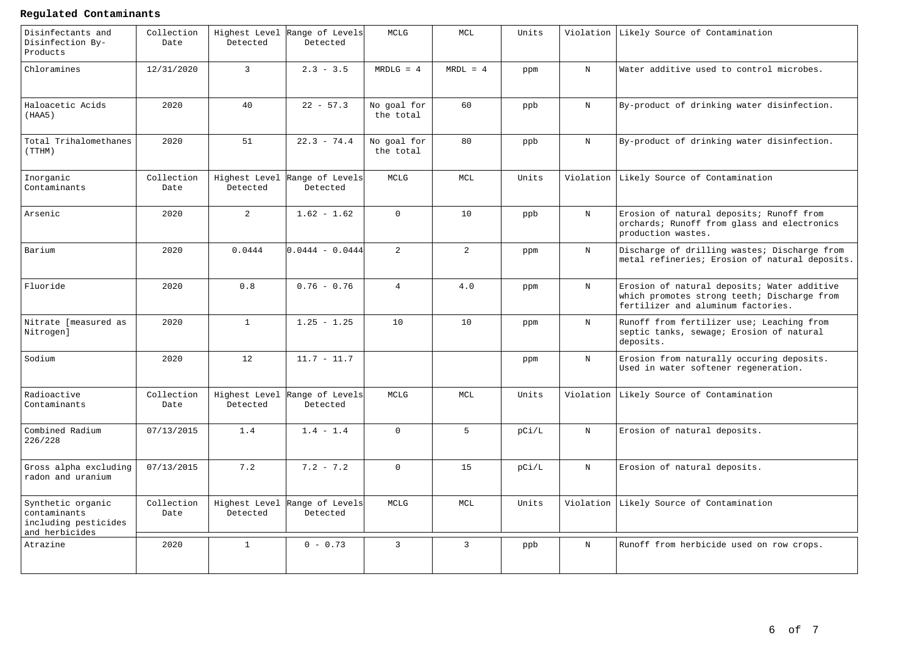# **Regulated Contaminants**

| Disinfectants and<br>Disinfection By-<br>Products                           | Collection<br>Date | Detected                  | Highest Level Range of Levels<br>Detected | MCLG                     | MCL            | Units |             | Violation Likely Source of Contamination                                                                                         |
|-----------------------------------------------------------------------------|--------------------|---------------------------|-------------------------------------------|--------------------------|----------------|-------|-------------|----------------------------------------------------------------------------------------------------------------------------------|
| Chloramines                                                                 | 12/31/2020         | $\mathbf{3}$              | $2.3 - 3.5$                               | $MRDLG = 4$              | $MRDL = 4$     | ppm   | $\mathbf N$ | Water additive used to control microbes.                                                                                         |
| Haloacetic Acids<br>(HAA5)                                                  | 2020               | 40                        | $22 - 57.3$                               | No goal for<br>the total | 60             | ppb   | $\mathbf N$ | By-product of drinking water disinfection.                                                                                       |
| Total Trihalomethanes<br>(TTHM)                                             | 2020               | 51                        | $22.3 - 74.4$                             | No goal for<br>the total | 80             | ppb   | $\mathbf N$ | By-product of drinking water disinfection.                                                                                       |
| Inorganic<br>Contaminants                                                   | Collection<br>Date | Detected                  | Highest Level Range of Levels<br>Detected | MCLG                     | MCL            | Units |             | Violation Likely Source of Contamination                                                                                         |
| Arsenic                                                                     | 2020               | $\overline{a}$            | $1.62 - 1.62$                             | $\Omega$                 | 10             | ppb   | $_{\rm N}$  | Erosion of natural deposits; Runoff from<br>orchards; Runoff from glass and electronics<br>production wastes.                    |
| Barium                                                                      | 2020               | 0.0444                    | $0.0444 - 0.0444$                         | $\overline{2}$           | $\overline{2}$ | ppm   | $_{\rm N}$  | Discharge of drilling wastes; Discharge from<br>metal refineries; Erosion of natural deposits.                                   |
| Fluoride                                                                    | 2020               | 0.8                       | $0.76 - 0.76$                             | $\overline{4}$           | 4.0            | ppm   | $\mathbf N$ | Erosion of natural deposits; Water additive<br>which promotes strong teeth; Discharge from<br>fertilizer and aluminum factories. |
| Nitrate [measured as<br>Nitrogen]                                           | 2020               | $\mathbf{1}$              | $1.25 - 1.25$                             | 10                       | 10             | ppm   | $_{\rm N}$  | Runoff from fertilizer use; Leaching from<br>septic tanks, sewage; Erosion of natural<br>deposits.                               |
| Sodium                                                                      | 2020               | 12                        | $11.7 - 11.7$                             |                          |                | ppm   | $\mathbf N$ | Erosion from naturally occuring deposits.<br>Used in water softener regeneration.                                                |
| Radioactive<br>Contaminants                                                 | Collection<br>Date | Detected                  | Highest Level Range of Levels<br>Detected | MCLG                     | MCL            | Units |             | Violation Likely Source of Contamination                                                                                         |
| Combined Radium<br>226/228                                                  | 07/13/2015         | 1.4                       | $1.4 - 1.4$                               | $\Omega$                 | $5^{\circ}$    | pCi/L | $\mathbf N$ | Erosion of natural deposits.                                                                                                     |
| Gross alpha excluding<br>radon and uranium                                  | 07/13/2015         | 7.2                       | $7.2 - 7.2$                               | $\Omega$                 | 15             | pC1/L | $\mathbf N$ | Erosion of natural deposits.                                                                                                     |
| Synthetic organic<br>contaminants<br>including pesticides<br>and herbicides | Collection<br>Date | Highest Level<br>Detected | Range of Levels<br>Detected               | MCLG                     | MCL            | Units |             | Violation Likely Source of Contamination                                                                                         |
| Atrazine                                                                    | 2020               | $\mathbf{1}$              | $0 - 0.73$                                | $\mathbf{3}$             | $\mathbf{3}$   | ppb   | $\mathbf N$ | Runoff from herbicide used on row crops.                                                                                         |